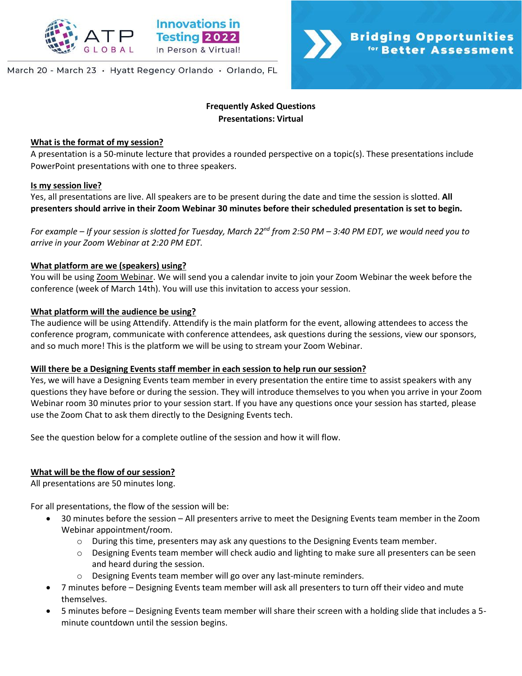

March 20 - March 23 · Hyatt Regency Orlando · Orlando, FL

## **Frequently Asked Questions Presentations: Virtual**

**Bridging Opportunities** 

for Better Assessment

### **What is the format of my session?**

A presentation is a 50-minute lecture that provides a rounded perspective on a topic(s). These presentations include PowerPoint presentations with one to three speakers.

#### **Is my session live?**

Yes, all presentations are live. All speakers are to be present during the date and time the session is slotted. **All presenters should arrive in their Zoom Webinar 30 minutes before their scheduled presentation is set to begin.**

*For example – If your session is slotted for Tuesday, March 22nd from 2:50 PM – 3:40 PM EDT, we would need you to arrive in your Zoom Webinar at 2:20 PM EDT.* 

## **What platform are we (speakers) using?**

You will be using Zoom Webinar. We will send you a calendar invite to join your Zoom Webinar the week before the conference (week of March 14th). You will use this invitation to access your session.

### **What platform will the audience be using?**

The audience will be using Attendify. Attendify is the main platform for the event, allowing attendees to access the conference program, communicate with conference attendees, ask questions during the sessions, view our sponsors, and so much more! This is the platform we will be using to stream your Zoom Webinar.

## **Will there be a Designing Events staff member in each session to help run our session?**

Yes, we will have a Designing Events team member in every presentation the entire time to assist speakers with any questions they have before or during the session. They will introduce themselves to you when you arrive in your Zoom Webinar room 30 minutes prior to your session start. If you have any questions once your session has started, please use the Zoom Chat to ask them directly to the Designing Events tech.

See the question below for a complete outline of the session and how it will flow.

#### **What will be the flow of our session?**

All presentations are 50 minutes long.

For all presentations, the flow of the session will be:

- 30 minutes before the session All presenters arrive to meet the Designing Events team member in the Zoom Webinar appointment/room.
	- o During this time, presenters may ask any questions to the Designing Events team member.
	- $\circ$  Designing Events team member will check audio and lighting to make sure all presenters can be seen and heard during the session.
	- o Designing Events team member will go over any last-minute reminders.
- 7 minutes before Designing Events team member will ask all presenters to turn off their video and mute themselves.
- 5 minutes before Designing Events team member will share their screen with a holding slide that includes a 5 minute countdown until the session begins.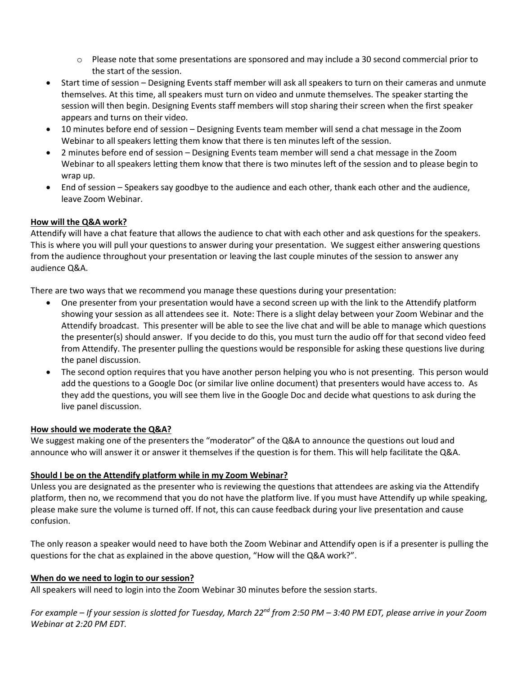- $\circ$  Please note that some presentations are sponsored and may include a 30 second commercial prior to the start of the session.
- Start time of session Designing Events staff member will ask all speakers to turn on their cameras and unmute themselves. At this time, all speakers must turn on video and unmute themselves. The speaker starting the session will then begin. Designing Events staff members will stop sharing their screen when the first speaker appears and turns on their video.
- 10 minutes before end of session Designing Events team member will send a chat message in the Zoom Webinar to all speakers letting them know that there is ten minutes left of the session.
- 2 minutes before end of session Designing Events team member will send a chat message in the Zoom Webinar to all speakers letting them know that there is two minutes left of the session and to please begin to wrap up.
- End of session Speakers say goodbye to the audience and each other, thank each other and the audience, leave Zoom Webinar.

# **How will the Q&A work?**

Attendify will have a chat feature that allows the audience to chat with each other and ask questions for the speakers. This is where you will pull your questions to answer during your presentation. We suggest either answering questions from the audience throughout your presentation or leaving the last couple minutes of the session to answer any audience Q&A.

There are two ways that we recommend you manage these questions during your presentation:

- One presenter from your presentation would have a second screen up with the link to the Attendify platform showing your session as all attendees see it. Note: There is a slight delay between your Zoom Webinar and the Attendify broadcast. This presenter will be able to see the live chat and will be able to manage which questions the presenter(s) should answer. If you decide to do this, you must turn the audio off for that second video feed from Attendify. The presenter pulling the questions would be responsible for asking these questions live during the panel discussion.
- The second option requires that you have another person helping you who is not presenting. This person would add the questions to a Google Doc (or similar live online document) that presenters would have access to. As they add the questions, you will see them live in the Google Doc and decide what questions to ask during the live panel discussion.

# **How should we moderate the Q&A?**

We suggest making one of the presenters the "moderator" of the Q&A to announce the questions out loud and announce who will answer it or answer it themselves if the question is for them. This will help facilitate the Q&A.

# **Should I be on the Attendify platform while in my Zoom Webinar?**

Unless you are designated as the presenter who is reviewing the questions that attendees are asking via the Attendify platform, then no, we recommend that you do not have the platform live. If you must have Attendify up while speaking, please make sure the volume is turned off. If not, this can cause feedback during your live presentation and cause confusion.

The only reason a speaker would need to have both the Zoom Webinar and Attendify open is if a presenter is pulling the questions for the chat as explained in the above question, "How will the Q&A work?".

# **When do we need to login to our session?**

All speakers will need to login into the Zoom Webinar 30 minutes before the session starts.

*For example – If your session is slotted for Tuesday, March 22nd from 2:50 PM – 3:40 PM EDT, please arrive in your Zoom Webinar at 2:20 PM EDT.*